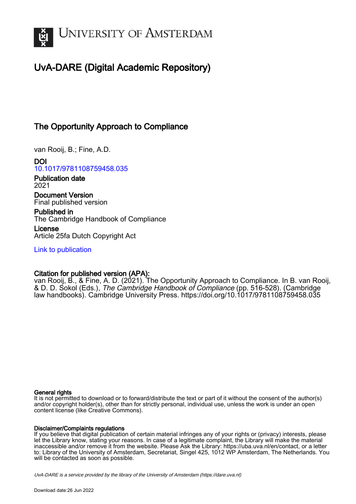

# UvA-DARE (Digital Academic Repository)

# The Opportunity Approach to Compliance

van Rooij, B.; Fine, A.D.

DOI [10.1017/9781108759458.035](https://doi.org/10.1017/9781108759458.035)

Publication date 2021

Document Version Final published version

Published in The Cambridge Handbook of Compliance

License Article 25fa Dutch Copyright Act

[Link to publication](https://dare.uva.nl/personal/pure/en/publications/the-opportunity-approach-to-compliance(4a4cc762-1c35-42b1-a5d6-9873697df585).html)

## Citation for published version (APA):

van Rooij, B., & Fine, A. D. (2021). The Opportunity Approach to Compliance. In B. van Rooij, & D. D. Sokol (Eds.), The Cambridge Handbook of Compliance (pp. 516-528). (Cambridge law handbooks). Cambridge University Press. <https://doi.org/10.1017/9781108759458.035>

## General rights

It is not permitted to download or to forward/distribute the text or part of it without the consent of the author(s) and/or copyright holder(s), other than for strictly personal, individual use, unless the work is under an open content license (like Creative Commons).

## Disclaimer/Complaints regulations

If you believe that digital publication of certain material infringes any of your rights or (privacy) interests, please let the Library know, stating your reasons. In case of a legitimate complaint, the Library will make the material inaccessible and/or remove it from the website. Please Ask the Library: https://uba.uva.nl/en/contact, or a letter to: Library of the University of Amsterdam, Secretariat, Singel 425, 1012 WP Amsterdam, The Netherlands. You will be contacted as soon as possible.

UvA-DARE is a service provided by the library of the University of Amsterdam (http*s*://dare.uva.nl)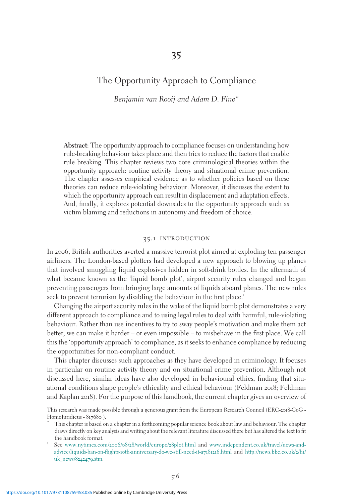## The Opportunity Approach to Compliance

Benjamin van Rooij and Adam D. Fine\*

Abstract: The opportunity approach to compliance focuses on understanding how rule-breaking behaviour takes place and then tries to reduce the factors that enable rule breaking. This chapter reviews two core criminological theories within the opportunity approach: routine activity theory and situational crime prevention. The chapter assesses empirical evidence as to whether policies based on these theories can reduce rule-violating behaviour. Moreover, it discusses the extent to which the opportunity approach can result in displacement and adaptation effects. And, finally, it explores potential downsides to the opportunity approach such as victim blaming and reductions in autonomy and freedom of choice.

### 35.1 introduction

In 2006, British authorities averted a massive terrorist plot aimed at exploding ten passenger airliners. The London-based plotters had developed a new approach to blowing up planes that involved smuggling liquid explosives hidden in soft-drink bottles. In the aftermath of what became known as the 'liquid bomb plot', airport security rules changed and began preventing passengers from bringing large amounts of liquids aboard planes. The new rules seek to prevent terrorism by disabling the behaviour in the first place.<sup>1</sup>

Changing the airport security rules in the wake of the liquid bomb plot demonstrates a very different approach to compliance and to using legal rules to deal with harmful, rule-violating behaviour. Rather than use incentives to try to sway people's motivation and make them act better, we can make it harder – or even impossible – to misbehave in the first place. We call this the 'opportunity approach' to compliance, as it seeks to enhance compliance by reducing the opportunities for non-compliant conduct.

This chapter discusses such approaches as they have developed in criminology. It focuses in particular on routine activity theory and on situational crime prevention. Although not discussed here, similar ideas have also developed in behavioural ethics, finding that situational conditions shape people's ethicality and ethical behaviour (Feldman 2018; Feldman and Kaplan 2018). For the purpose of this handbook, the current chapter gives an overview of

This research was made possible through a generous grant from the European Research Council (ERC-2018-CoG - HomoJuridicus - 817680 ).<br>\* This chapter is based on a chapter in a forthcoming popular science book about law and behaviour. The chapter

draws directly on key analysis and writing about the relevant literature discussed there but has altered the text to fit the handbook format.<br>
1 See [www.nytimes.com/](http://www.nytimes.com/2006/08/28/world/europe/28plot.html)2006/08/28/world/europe/28plot.html and [www.independent.co.uk/travel/news-and-](http://www.independent.co.uk/travel/news-and-advice/liquids-ban-on-flights-10th-anniversary-do-we-still-need-it-a7181216.html)

advice/liquids-ban-on-flights-10[th-anniversary-do-we-still-need-it-a](http://www.independent.co.uk/travel/news-and-advice/liquids-ban-on-flights-10th-anniversary-do-we-still-need-it-a7181216.html)7181216.html and [http://news.bbc.co.uk/](http://news.bbc.co.uk/2/hi/uk%5Fnews/8242479.stm)2/hi/ [uk\\_news/](http://news.bbc.co.uk/2/hi/uk%5Fnews/8242479.stm)8242479.stm.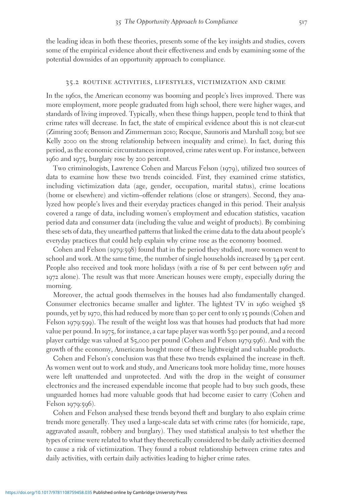the leading ideas in both these theories, presents some of the key insights and studies, covers some of the empirical evidence about their effectiveness and ends by examining some of the potential downsides of an opportunity approach to compliance.

#### 35.2 routine activities, lifestyles, victimization and crime

In the 1960s, the American economy was booming and people's lives improved. There was more employment, more people graduated from high school, there were higher wages, and standards of living improved. Typically, when these things happen, people tend to think that crime rates will decrease. In fact, the state of empirical evidence about this is not clear-cut (Zimring 2006; Benson and Zimmerman 2010; Rocque, Saunoris and Marshall 2019; but see Kelly 2000 on the strong relationship between inequality and crime). In fact, during this period, as the economic circumstances improved, crime rates went up. For instance, between 1960 and 1975, burglary rose by 200 percent.

Two criminologists, Lawrence Cohen and Marcus Felson (1979), utilized two sources of data to examine how these two trends coincided. First, they examined crime statistics, including victimization data (age, gender, occupation, marital status), crime locations (home or elsewhere) and victim–offender relations (close or strangers). Second, they analyzed how people's lives and their everyday practices changed in this period. Their analysis covered a range of data, including women's employment and education statistics, vacation period data and consumer data (including the value and weight of products). By combining these sets of data, they unearthed patterns that linked the crime data to the data about people's everyday practices that could help explain why crime rose as the economy boomed.

Cohen and Felson (1979:598) found that in the period they studied, more women went to school and work. At the same time, the number of single households increased by 34 per cent. People also received and took more holidays (with a rise of 81 per cent between 1967 and 1972 alone). The result was that more American houses were empty, especially during the morning.

Moreover, the actual goods themselves in the houses had also fundamentally changed. Consumer electronics became smaller and lighter. The lightest TV in 1960 weighed 38 pounds, yet by 1970, this had reduced by more than 50 per cent to only 15 pounds (Cohen and Felson 1979:599). The result of the weight loss was that houses had products that had more value per pound. In 1975, for instance, a car tape player was worth \$30 per pound, and a record player cartridge was valued at \$5,000 per pound (Cohen and Felson 1979:596). And with the growth of the economy, Americans bought more of these lightweight and valuable products.

Cohen and Felson's conclusion was that these two trends explained the increase in theft. As women went out to work and study, and Americans took more holiday time, more houses were left unattended and unprotected. And with the drop in the weight of consumer electronics and the increased expendable income that people had to buy such goods, these unguarded homes had more valuable goods that had become easier to carry (Cohen and Felson 1979:596).

Cohen and Felson analysed these trends beyond theft and burglary to also explain crime trends more generally. They used a large-scale data set with crime rates (for homicide, rape, aggravated assault, robbery and burglary). They used statistical analysis to test whether the types of crime were related to what they theoretically considered to be daily activities deemed to cause a risk of victimization. They found a robust relationship between crime rates and daily activities, with certain daily activities leading to higher crime rates.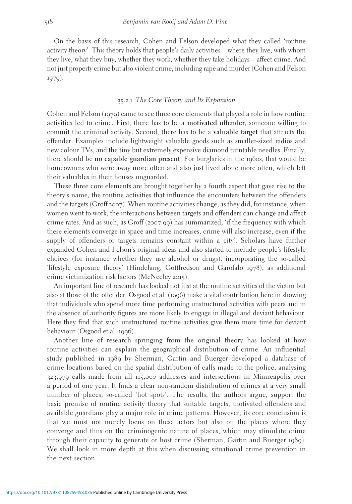On the basis of this research, Cohen and Felson developed what they called 'routine activity theory'. This theory holds that people's daily activities – where they live, with whom they live, what they buy, whether they work, whether they take holidays – affect crime. And not just property crime but also violent crime, including rape and murder (Cohen and Felson 1979).

#### 35.2.1 The Core Theory and Its Expansion

Cohen and Felson (1979) came to see three core elements that played a role in how routine activities led to crime. First, there has to be a motivated offender, someone willing to commit the criminal activity. Second, there has to be a valuable target that attracts the offender. Examples include lightweight valuable goods such as smaller-sized radios and new colour TVs, and the tiny but extremely expensive diamond turntable needles. Finally, there should be no capable guardian present. For burglaries in the 1960s, that would be homeowners who were away more often and also just lived alone more often, which left their valuables in their houses unguarded.

These three core elements are brought together by a fourth aspect that gave rise to the theory's name, the routine activities that influence the encounters between the offenders and the targets (Groff 2007). When routine activities change, as they did, for instance, when women went to work, the interactions between targets and offenders can change and affect crime rates. And as such, as Groff (2007:99) has summarized, 'if the frequency with which these elements converge in space and time increases, crime will also increase, even if the supply of offenders or targets remains constant within a city'. Scholars have further expanded Cohen and Felson's original ideas and also started to include people's lifestyle choices (for instance whether they use alcohol or drugs), incorporating the so-called 'lifestyle exposure theory' (Hindelang, Gottfredson and Garofalo 1978), as additional crime victimization risk factors (McNeeley 2015).

An important line of research has looked not just at the routine activities of the victim but also at those of the offender. Osgood et al. (1996) make a vital contribution here in showing that individuals who spend more time performing unstructured activities with peers and in the absence of authority figures are more likely to engage in illegal and deviant behaviour. Here they find that such unstructured routine activities give them more time for deviant behaviour (Osgood et al. 1996).

Another line of research springing from the original theory has looked at how routine activities can explain the geographical distribution of crime. An influential study published in 1989 by Sherman, Gartin and Buerger developed a database of crime locations based on the spatial distribution of calls made to the police, analysing 323,979 calls made from all 115,000 addresses and intersections in Minneapolis over a period of one year. It finds a clear non-random distribution of crimes at a very small number of places, so-called 'hot spots'. The results, the authors argue, support the basic premise of routine activity theory that suitable targets, motivated offenders and available guardians play a major role in crime patterns. However, its core conclusion is that we must not merely focus on these actors but also on the places where they converge and thus on the criminogenic nature of places, which may stimulate crime through their capacity to generate or host crime (Sherman, Gartin and Buerger 1989). We shall look in more depth at this when discussing situational crime prevention in the next section.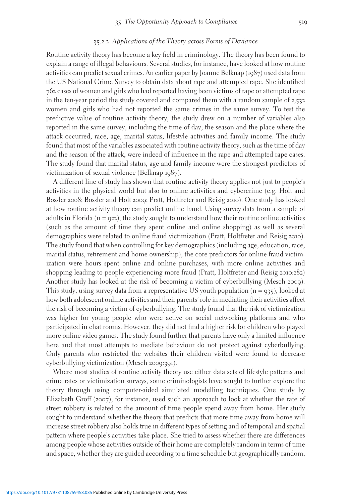#### 35.2.2 Applications of the Theory across Forms of Deviance

Routine activity theory has become a key field in criminology. The theory has been found to explain a range of illegal behaviours. Several studies, for instance, have looked at how routine activities can predict sexual crimes. An earlier paper by Joanne Belknap (1987) used data from the US National Crime Survey to obtain data about rape and attempted rape. She identified 762 cases of women and girls who had reported having been victims of rape or attempted rape in the ten-year period the study covered and compared them with a random sample of 2,532 women and girls who had not reported the same crimes in the same survey. To test the predictive value of routine activity theory, the study drew on a number of variables also reported in the same survey, including the time of day, the season and the place where the attack occurred, race, age, marital status, lifestyle activities and family income. The study found that most of the variables associated with routine activity theory, such as the time of day and the season of the attack, were indeed of influence in the rape and attempted rape cases. The study found that marital status, age and family income were the strongest predictors of victimization of sexual violence (Belknap 1987).

A different line of study has shown that routine activity theory applies not just to people's activities in the physical world but also to online activities and cybercrime (e.g. Holt and Bossler 2008; Bossler and Holt 2009; Pratt, Holtfreter and Reisig 2010). One study has looked at how routine activity theory can predict online fraud. Using survey data from a sample of adults in Florida ( $n = 922$ ), the study sought to understand how their routine online activities (such as the amount of time they spent online and online shopping) as well as several demographics were related to online fraud victimization (Pratt, Holtfreter and Reisig 2010). The study found that when controlling for key demographics (including age, education, race, marital status, retirement and home ownership), the core predictors for online fraud victimization were hours spent online and online purchases, with more online activities and shopping leading to people experiencing more fraud (Pratt, Holtfreter and Reisig 2010:282) Another study has looked at the risk of becoming a victim of cyberbullying (Mesch 2009). This study, using survey data from a representative US youth population  $(n = 935)$ , looked at how both adolescent online activities and their parents' role in mediating their activities affect the risk of becoming a victim of cyberbullying. The study found that the risk of victimization was higher for young people who were active on social networking platforms and who participated in chat rooms. However, they did not find a higher risk for children who played more online video games. The study found further that parents have only a limited influence here and that most attempts to mediate behaviour do not protect against cyberbullying. Only parents who restricted the websites their children visited were found to decrease cyberbullying victimization (Mesch 2009:391).

Where most studies of routine activity theory use either data sets of lifestyle patterns and crime rates or victimization surveys, some criminologists have sought to further explore the theory through using computer-aided simulated modelling techniques. One study by Elizabeth Groff (2007), for instance, used such an approach to look at whether the rate of street robbery is related to the amount of time people spend away from home. Her study sought to understand whether the theory that predicts that more time away from home will increase street robbery also holds true in different types of setting and of temporal and spatial pattern where people's activities take place. She tried to assess whether there are differences among people whose activities outside of their home are completely random in terms of time and space, whether they are guided according to a time schedule but geographically random,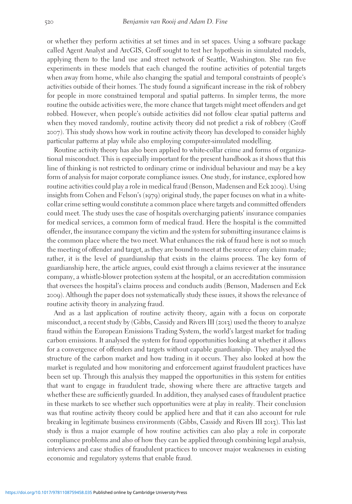or whether they perform activities at set times and in set spaces. Using a software package called Agent Analyst and ArcGIS, Groff sought to test her hypothesis in simulated models, applying them to the land use and street network of Seattle, Washington. She ran five experiments in these models that each changed the routine activities of potential targets when away from home, while also changing the spatial and temporal constraints of people's activities outside of their homes. The study found a significant increase in the risk of robbery for people in more constrained temporal and spatial patterns. In simpler terms, the more routine the outside activities were, the more chance that targets might meet offenders and get robbed. However, when people's outside activities did not follow clear spatial patterns and when they moved randomly, routine activity theory did not predict a risk of robbery (Groff 2007). This study shows how work in routine activity theory has developed to consider highly particular patterns at play while also employing computer-simulated modelling.

Routine activity theory has also been applied to white-collar crime and forms of organizational misconduct. This is especially important for the present handbook as it shows that this line of thinking is not restricted to ordinary crime or individual behaviour and may be a key form of analysis for major corporate compliance issues. One study, for instance, explored how routine activities could play a role in medical fraud (Benson, Madensen and Eck 2009). Using insights from Cohen and Felson's (1979) original study, the paper focuses on what in a whitecollar crime setting would constitute a common place where targets and committed offenders could meet. The study uses the case of hospitals overcharging patients' insurance companies for medical services, a common form of medical fraud. Here the hospital is the committed offender, the insurance company the victim and the system for submitting insurance claims is the common place where the two meet. What enhances the risk of fraud here is not so much the meeting of offender and target, as they are bound to meet at the source of any claim made; rather, it is the level of guardianship that exists in the claims process. The key form of guardianship here, the article argues, could exist through a claims reviewer at the insurance company, a whistle-blower protection system at the hospital, or an accreditation commission that oversees the hospital's claims process and conducts audits (Benson, Madensen and Eck 2009). Although the paper does not systematically study these issues, it shows the relevance of routine activity theory in analyzing fraud.

And as a last application of routine activity theory, again with a focus on corporate misconduct, a recent study by (Gibbs, Cassidy and Rivers III (2013) used the theory to analyze fraud within the European Emissions Trading System, the world's largest market for trading carbon emissions. It analysed the system for fraud opportunities looking at whether it allows for a convergence of offenders and targets without capable guardianship. They analysed the structure of the carbon market and how trading in it occurs. They also looked at how the market is regulated and how monitoring and enforcement against fraudulent practices have been set up. Through this analysis they mapped the opportunities in this system for entities that want to engage in fraudulent trade, showing where there are attractive targets and whether these are sufficiently guarded. In addition, they analysed cases of fraudulent practice in these markets to see whether such opportunities were at play in reality. Their conclusion was that routine activity theory could be applied here and that it can also account for rule breaking in legitimate business environments (Gibbs, Cassidy and Rivers III 2013). This last study is thus a major example of how routine activities can also play a role in corporate compliance problems and also of how they can be applied through combining legal analysis, interviews and case studies of fraudulent practices to uncover major weaknesses in existing economic and regulatory systems that enable fraud.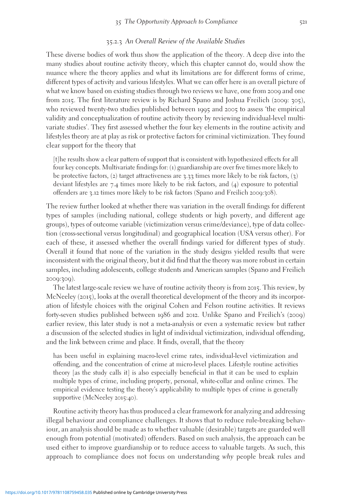#### 35.2.3 An Overall Review of the Available Studies

These diverse bodies of work thus show the application of the theory. A deep dive into the many studies about routine activity theory, which this chapter cannot do, would show the nuance where the theory applies and what its limitations are for different forms of crime, different types of activity and various lifestyles. What we can offer here is an overall picture of what we know based on existing studies through two reviews we have, one from 2009 and one from 2015. The first literature review is by Richard Spano and Joshua Freilich (2009: 305), who reviewed twenty-two studies published between 1995 and 2005 to assess 'the empirical validity and conceptualization of routine activity theory by reviewing individual-level multivariate studies'. They first assessed whether the four key elements in the routine activity and lifestyles theory are at play as risk or protective factors for criminal victimization. They found clear support for the theory that

[t]he results show a clear pattern of support that is consistent with hypothesized effects for all four key concepts. Multivariate findings for: (1) guardianship are over five times more likely to be protective factors, (2) target attractiveness are  $3.33$  times more likely to be risk factors, (3) deviant lifestyles are 7.4 times more likely to be risk factors, and (4) exposure to potential offenders are 3.12 times more likely to be risk factors (Spano and Freilich 2009:308).

The review further looked at whether there was variation in the overall findings for different types of samples (including national, college students or high poverty, and different age groups), types of outcome variable (victimization versus crime/deviance), type of data collection (cross-sectional versus longitudinal) and geographical location (USA versus other). For each of these, it assessed whether the overall findings varied for different types of study. Overall it found that none of the variation in the study designs yielded results that were inconsistent with the original theory, but it did find that the theory was more robust in certain samples, including adolescents, college students and American samples (Spano and Freilich 2009:309).

The latest large-scale review we have of routine activity theory is from 2015. This review, by McNeeley (2015), looks at the overall theoretical development of the theory and its incorporation of lifestyle choices with the original Cohen and Felson routine activities. It reviews forty-seven studies published between 1986 and 2012. Unlike Spano and Freilich's (2009) earlier review, this later study is not a meta-analysis or even a systematic review but rather a discussion of the selected studies in light of individual victimization, individual offending, and the link between crime and place. It finds, overall, that the theory

has been useful in explaining macro-level crime rates, individual-level victimization and offending, and the concentration of crime at micro-level places. Lifestyle routine activities theory [as the study calls it] is also especially beneficial in that it can be used to explain multiple types of crime, including property, personal, white-collar and online crimes. The empirical evidence testing the theory's applicability to multiple types of crime is generally supportive (McNeeley 2015:40).

Routine activity theory has thus produced a clear framework for analyzing and addressing illegal behaviour and compliance challenges. It shows that to reduce rule-breaking behaviour, an analysis should be made as to whether valuable (desirable) targets are guarded well enough from potential (motivated) offenders. Based on such analysis, the approach can be used either to improve guardianship or to reduce access to valuable targets. As such, this approach to compliance does not focus on understanding why people break rules and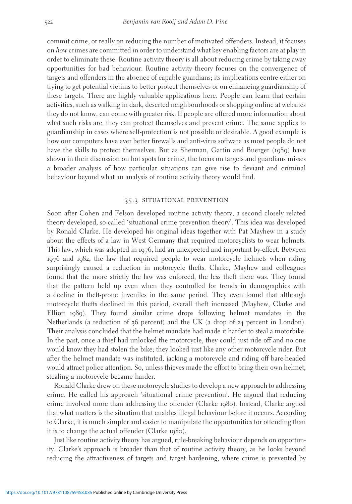commit crime, or really on reducing the number of motivated offenders. Instead, it focuses on how crimes are committed in order to understand what key enabling factors are at play in order to eliminate these. Routine activity theory is all about reducing crime by taking away opportunities for bad behaviour. Routine activity theory focuses on the convergence of targets and offenders in the absence of capable guardians; its implications centre either on trying to get potential victims to better protect themselves or on enhancing guardianship of these targets. There are highly valuable applications here. People can learn that certain activities, such as walking in dark, deserted neighbourhoods or shopping online at websites they do not know, can come with greater risk. If people are offered more information about what such risks are, they can protect themselves and prevent crime. The same applies to guardianship in cases where self-protection is not possible or desirable. A good example is how our computers have ever better firewalls and anti-virus software as most people do not have the skills to protect themselves. But as Sherman, Gartin and Buerger (1989) have shown in their discussion on hot spots for crime, the focus on targets and guardians misses a broader analysis of how particular situations can give rise to deviant and criminal behaviour beyond what an analysis of routine activity theory would find.

#### 35.3 situational prevention

Soon after Cohen and Felson developed routine activity theory, a second closely related theory developed, so-called 'situational crime prevention theory'. This idea was developed by Ronald Clarke. He developed his original ideas together with Pat Mayhew in a study about the effects of a law in West Germany that required motorcyclists to wear helmets. This law, which was adopted in 1976, had an unexpected and important by-effect. Between 1976 and 1982, the law that required people to wear motorcycle helmets when riding surprisingly caused a reduction in motorcycle thefts. Clarke, Mayhew and colleagues found that the more strictly the law was enforced, the less theft there was. They found that the pattern held up even when they controlled for trends in demographics with a decline in theft-prone juveniles in the same period. They even found that although motorcycle thefts declined in this period, overall theft increased (Mayhew, Clarke and Elliott 1989). They found similar crime drops following helmet mandates in the Netherlands (a reduction of 36 percent) and the UK (a drop of 24 percent in London). Their analysis concluded that the helmet mandate had made it harder to steal a motorbike. In the past, once a thief had unlocked the motorcycle, they could just ride off and no one would know they had stolen the bike; they looked just like any other motorcycle rider. But after the helmet mandate was instituted, jacking a motorcycle and riding off bare-headed would attract police attention. So, unless thieves made the effort to bring their own helmet, stealing a motorcycle became harder.

Ronald Clarke drew on these motorcycle studies to develop a new approach to addressing crime. He called his approach 'situational crime prevention'. He argued that reducing crime involved more than addressing the offender (Clarke 1980). Instead, Clarke argued that what matters is the situation that enables illegal behaviour before it occurs. According to Clarke, it is much simpler and easier to manipulate the opportunities for offending than it is to change the actual offender (Clarke 1980).

Just like routine activity theory has argued, rule-breaking behaviour depends on opportunity. Clarke's approach is broader than that of routine activity theory, as he looks beyond reducing the attractiveness of targets and target hardening, where crime is prevented by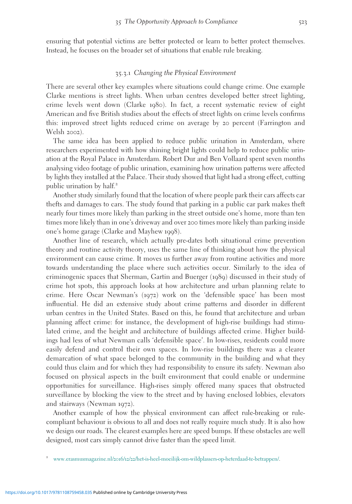ensuring that potential victims are better protected or learn to better protect themselves. Instead, he focuses on the broader set of situations that enable rule breaking.

#### 35.3.1 Changing the Physical Environment

There are several other key examples where situations could change crime. One example Clarke mentions is street lights. When urban centres developed better street lighting, crime levels went down (Clarke 1980). In fact, a recent systematic review of eight American and five British studies about the effects of street lights on crime levels confirms this: improved street lights reduced crime on average by 20 percent (Farrington and Welsh 2002).

The same idea has been applied to reduce public urination in Amsterdam, where researchers experimented with how shining bright lights could help to reduce public urination at the Royal Palace in Amsterdam. Robert Dur and Ben Vollaard spent seven months analysing video footage of public urination, examining how urination patterns were affected by lights they installed at the Palace. Their study showed that light had a strong effect, cutting public urination by half.<sup>2</sup>

Another study similarly found that the location of where people park their cars affects car thefts and damages to cars. The study found that parking in a public car park makes theft nearly four times more likely than parking in the street outside one's home, more than ten times more likely than in one's driveway and over 200 times more likely than parking inside one's home garage (Clarke and Mayhew 1998).

Another line of research, which actually pre-dates both situational crime prevention theory and routine activity theory, uses the same line of thinking about how the physical environment can cause crime. It moves us further away from routine activities and more towards understanding the place where such activities occur. Similarly to the idea of criminogenic spaces that Sherman, Gartin and Buerger (1989) discussed in their study of crime hot spots, this approach looks at how architecture and urban planning relate to crime. Here Oscar Newman's (1972) work on the 'defensible space' has been most influential. He did an extensive study about crime patterns and disorder in different urban centres in the United States. Based on this, he found that architecture and urban planning affect crime: for instance, the development of high-rise buildings had stimulated crime, and the height and architecture of buildings affected crime. Higher buildings had less of what Newman calls 'defensible space'. In low-rises, residents could more easily defend and control their own spaces. In low-rise buildings there was a clearer demarcation of what space belonged to the community in the building and what they could thus claim and for which they had responsibility to ensure its safety. Newman also focused on physical aspects in the built environment that could enable or undermine opportunities for surveillance. High-rises simply offered many spaces that obstructed surveillance by blocking the view to the street and by having enclosed lobbies, elevators and stairways (Newman 1972).

Another example of how the physical environment can affect rule-breaking or rulecompliant behaviour is obvious to all and does not really require much study. It is also how we design our roads. The clearest examples here are speed bumps. If these obstacles are well designed, most cars simply cannot drive faster than the speed limit.

<sup>2</sup> www.erasmusmagazine.nl/2016/12/22[/het-is-heel-moeilijk-om-wildplassers-op-heterdaad-te-betrappen/](http://www.erasmusmagazine.nl/2016/12/22/het-is-heel-moeilijk-om-wildplassers-op-heterdaad-te-betrappen/).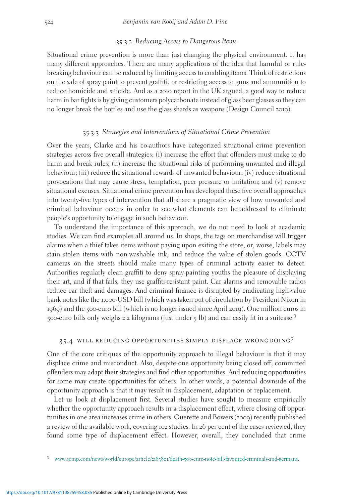#### 35.3.2 Reducing Access to Dangerous Items

Situational crime prevention is more than just changing the physical environment. It has many different approaches. There are many applications of the idea that harmful or rulebreaking behaviour can be reduced by limiting access to enabling items. Think of restrictions on the sale of spray paint to prevent graffiti, or restricting access to guns and ammunition to reduce homicide and suicide. And as a 2010 report in the UK argued, a good way to reduce harm in bar fights is by giving customers polycarbonate instead of glass beer glasses so they can no longer break the bottles and use the glass shards as weapons (Design Council 2010).

#### 35.3.3 Strategies and Interventions of Situational Crime Prevention

Over the years, Clarke and his co-authors have categorized situational crime prevention strategies across five overall strategies: (i) increase the effort that offenders must make to do harm and break rules; (ii) increase the situational risks of performing unwanted and illegal behaviour; (iii) reduce the situational rewards of unwanted behaviour; (iv) reduce situational provocations that may cause stress, temptation, peer pressure or imitation; and  $(v)$  remove situational excuses. Situational crime prevention has developed these five overall approaches into twenty-five types of intervention that all share a pragmatic view of how unwanted and criminal behaviour occurs in order to see what elements can be addressed to eliminate people's opportunity to engage in such behaviour.

To understand the importance of this approach, we do not need to look at academic studies. We can find examples all around us. In shops, the tags on merchandise will trigger alarms when a thief takes items without paying upon exiting the store, or, worse, labels may stain stolen items with non-washable ink, and reduce the value of stolen goods. CCTV cameras on the streets should make many types of criminal activity easier to detect. Authorities regularly clean graffiti to deny spray-painting youths the pleasure of displaying their art, and if that fails, they use graffiti-resistant paint. Car alarms and removable radios reduce car theft and damages. And criminal finance is disrupted by eradicating high-value bank notes like the 1,000-USD bill (which was taken out of circulation by President Nixon in 1969) and the 500-euro bill (which is no longer issued since April 2019). One million euros in <sup>500</sup>-euro bills only weighs <sup>2</sup>.<sup>2</sup> kilograms (just under <sup>5</sup> lb) and can easily fit in a suitcase.<sup>3</sup>

#### 35.4 will reducing opportunities simply displace wrongdoing?

One of the core critiques of the opportunity approach to illegal behaviour is that it may displace crime and misconduct. Also, despite one opportunity being closed off, committed offenders may adapt their strategies and find other opportunities. And reducing opportunities for some may create opportunities for others. In other words, a potential downside of the opportunity approach is that it may result in displacement, adaptation or replacement.

Let us look at displacement first. Several studies have sought to measure empirically whether the opportunity approach results in a displacement effect, where closing off opportunities in one area increases crime in others. Guerette and Bowers (2009) recently published a review of the available work, covering 102 studies. In 26 per cent of the cases reviewed, they found some type of displacement effect. However, overall, they concluded that crime

<sup>3</sup> www.scmp.com/news/world/europe/article/2183801/death-500[-euro-note-bill-favoured-criminals-and-germans](http://www.scmp.com/news/world/europe/article/2183801/death-500-euro-note-bill-favoured-criminals-and-germans).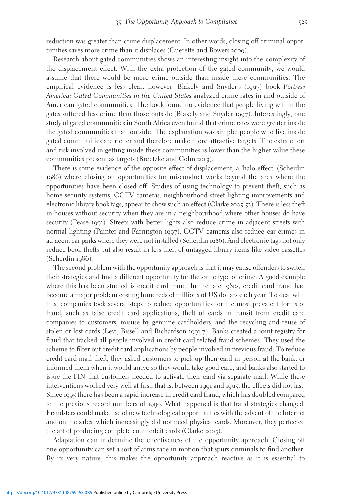reduction was greater than crime displacement. In other words, closing off criminal opportunities saves more crime than it displaces (Guerette and Bowers 2009).

Research about gated communities shows an interesting insight into the complexity of the displacement effect. With the extra protection of the gated community, we would assume that there would be more crime outside than inside these communities. The empirical evidence is less clear, however. Blakely and Snyder's (1997) book Fortress America: Gated Communities in the United States analyzed crime rates in and outside of American gated communities. The book found no evidence that people living within the gates suffered less crime than those outside (Blakely and Snyder 1997). Interestingly, one study of gated communities in South Africa even found that crime rates were greater inside the gated communities than outside. The explanation was simple: people who live inside gated communities are richer and therefore make more attractive targets. The extra effort and risk involved in getting inside these communities is lower than the higher value these communities present as targets (Breetzke and Cohn 2013).

There is some evidence of the opposite effect of displacement, a 'halo effect' (Scherdin 1986) where closing off opportunities for misconduct works beyond the area where the opportunities have been closed off. Studies of using technology to prevent theft, such as home security systems, CCTV cameras, neighbourhood street lighting improvements and electronic library book tags, appear to show such an effect (Clarke 2005:52). There is less theft in houses without security when they are in a neighbourhood where other houses do have security (Pease 1991). Streets with better lights also reduce crime in adjacent streets with normal lighting (Painter and Farrington 1997). CCTV cameras also reduce car crimes in adjacent car parks where they were not installed (Scherdin 1986). And electronic tags not only reduce book thefts but also result in less theft of untagged library items like video cassettes (Scherdin 1986).

The second problem with the opportunity approach is that it may cause offenders to switch their strategies and find a different opportunity for the same type of crime. A good example where this has been studied is credit card fraud. In the late 1980s, credit card fraud had become a major problem costing hundreds of millions of US dollars each year. To deal with this, companies took several steps to reduce opportunities for the most prevalent forms of fraud, such as false credit card applications, theft of cards in transit from credit card companies to customers, misuse by genuine cardholders, and the recycling and reuse of stolen or lost cards (Levi, Bissell and Richardson 1991:7). Banks created a joint registry for fraud that tracked all people involved in credit card-related fraud schemes. They used the scheme to filter out credit card applications by people involved in previous fraud. To reduce credit card mail theft, they asked customers to pick up their card in person at the bank, or informed them when it would arrive so they would take good care, and banks also started to issue the PIN that customers needed to activate their card via separate mail. While these interventions worked very well at first, that is, between 1991 and 1995, the effects did not last. Since 1995 there has been a rapid increase in credit card fraud, which has doubled compared to the previous record numbers of 1990. What happened is that fraud strategies changed. Fraudsters could make use of new technological opportunities with the advent of the Internet and online sales, which increasingly did not need physical cards. Moreover, they perfected the art of producing complete counterfeit cards (Clarke 2005).

Adaptation can undermine the effectiveness of the opportunity approach. Closing off one opportunity can set a sort of arms race in motion that spurs criminals to find another. By its very nature, this makes the opportunity approach reactive as it is essential to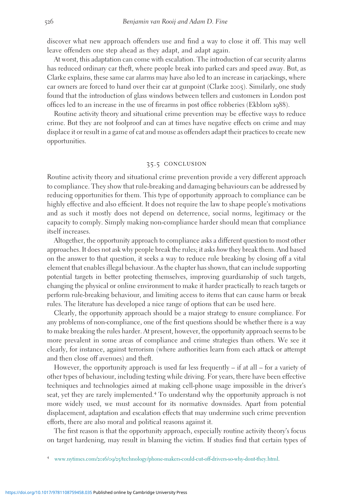discover what new approach offenders use and find a way to close it off. This may well leave offenders one step ahead as they adapt, and adapt again.

At worst, this adaptation can come with escalation. The introduction of car security alarms has reduced ordinary car theft, where people break into parked cars and speed away. But, as Clarke explains, these same car alarms may have also led to an increase in carjackings, where car owners are forced to hand over their car at gunpoint (Clarke 2005). Similarly, one study found that the introduction of glass windows between tellers and customers in London post offices led to an increase in the use of firearms in post office robberies (Ekblom 1988).

Routine activity theory and situational crime prevention may be effective ways to reduce crime. But they are not foolproof and can at times have negative effects on crime and may displace it or result in a game of cat and mouse as offenders adapt their practices to create new opportunities.

#### 35.5 conclusion

Routine activity theory and situational crime prevention provide a very different approach to compliance. They show that rule-breaking and damaging behaviours can be addressed by reducing opportunities for them. This type of opportunity approach to compliance can be highly effective and also efficient. It does not require the law to shape people's motivations and as such it mostly does not depend on deterrence, social norms, legitimacy or the capacity to comply. Simply making non-compliance harder should mean that compliance itself increases.

Altogether, the opportunity approach to compliance asks a different question to most other approaches. It does not ask why people break the rules; it asks how they break them. And based on the answer to that question, it seeks a way to reduce rule breaking by closing off a vital element that enables illegal behaviour. As the chapter has shown, that can include supporting potential targets in better protecting themselves, improving guardianship of such targets, changing the physical or online environment to make it harder practically to reach targets or perform rule-breaking behaviour, and limiting access to items that can cause harm or break rules. The literature has developed a nice range of options that can be used here.

Clearly, the opportunity approach should be a major strategy to ensure compliance. For any problems of non-compliance, one of the first questions should be whether there is a way to make breaking the rules harder. At present, however, the opportunity approach seems to be more prevalent in some areas of compliance and crime strategies than others. We see it clearly, for instance, against terrorism (where authorities learn from each attack or attempt and then close off avenues) and theft.

However, the opportunity approach is used far less frequently – if at all – for a variety of other types of behaviour, including texting while driving. For years, there have been effective techniques and technologies aimed at making cell-phone usage impossible in the driver's seat, yet they are rarely implemented.<sup>4</sup> To understand why the opportunity approach is not more widely used, we must account for its normative downsides. Apart from potential displacement, adaptation and escalation effects that may undermine such crime prevention efforts, there are also moral and political reasons against it.

The first reason is that the opportunity approach, especially routine activity theory's focus on target hardening, may result in blaming the victim. If studies find that certain types of

<sup>4</sup> www.nytimes.com/2016/09/25[/technology/phone-makers-could-cut-off-drivers-so-why-dont-they.html](http://www.nytimes.com/2016/09/25/technology/phone-makers-could-cut-off-drivers-so-why-dont-they.html).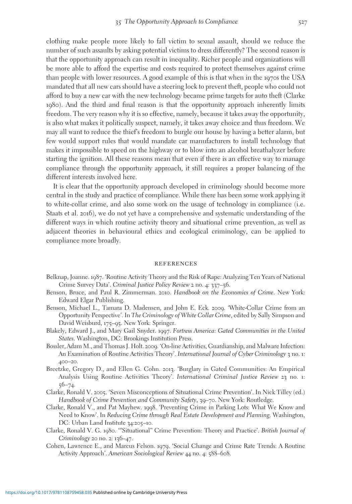clothing make people more likely to fall victim to sexual assault, should we reduce the number of such assaults by asking potential victims to dress differently? The second reason is that the opportunity approach can result in inequality. Richer people and organizations will be more able to afford the expertise and costs required to protect themselves against crime than people with lower resources. A good example of this is that when in the 1970s the USA mandated that all new cars should have a steering lock to prevent theft, people who could not afford to buy a new car with the new technology became prime targets for auto theft (Clarke 1980). And the third and final reason is that the opportunity approach inherently limits freedom. The very reason why it is so effective, namely, because it takes away the opportunity, is also what makes it politically suspect, namely, it takes away choice and thus freedom. We may all want to reduce the thief's freedom to burgle our house by having a better alarm, but few would support rules that would mandate car manufacturers to install technology that makes it impossible to speed on the highway or to blow into an alcohol breathalyzer before starting the ignition. All these reasons mean that even if there is an effective way to manage compliance through the opportunity approach, it still requires a proper balancing of the different interests involved here.

It is clear that the opportunity approach developed in criminology should become more central in the study and practice of compliance. While there has been some work applying it to white-collar crime, and also some work on the usage of technology in compliance (i.e. Staats et al. 2016), we do not yet have a comprehensive and systematic understanding of the different ways in which routine activity theory and situational crime prevention, as well as adjacent theories in behavioural ethics and ecological criminology, can be applied to compliance more broadly.

#### **REFERENCES**

- Belknap, Joanne. 1987. 'Routine Activity Theory and the Risk of Rape: Analyzing Ten Years of National Crime Survey Data'. Criminal Justice Policy Review 2 no. 4: 337–56.
- Benson, Bruce, and Paul R. Zimmerman. 2010. Handbook on the Economics of Crime. New York: Edward Elgar Publishing.
- Benson, Michael L., Tamara D. Madensen, and John E. Eck. 2009. 'White-Collar Crime from an Opportunity Perspective'. In The Criminology of White Collar Crime, edited by Sally Simpson and David Weisburd, 175–95. New York: Springer.
- Blakely, Edward J., and Mary Gail Snyder. 1997. Fortress America: Gated Communities in the United States. Washington, DC: Brookings Institution Press.
- Bossler, Adam M., and Thomas J. Holt. 2009. 'On-line Activities, Guardianship, and Malware Infection: An Examination of Routine Activities Theory'. International Journal of Cyber Criminology 3 no. 1: 400–20.
- Breetzke, Gregory D., and Ellen G. Cohn. 2013. 'Burglary in Gated Communities: An Empirical Analysis Using Routine Activities Theory'. International Criminal Justice Review 23 no. 1:  $56 - 74.$
- Clarke, Ronald V. 2005. 'Seven Misconceptions of Situational Crime Prevention'. In Nick Tilley (ed.) Handbook of Crime Prevention and Community Safety, 39-70. New York: Routledge.
- Clarke, Ronald V., and Pat Mayhew. 1998. 'Preventing Crime in Parking Lots: What We Know and Need to Know'. In Reducing Crime through Real Estate Development and Planning. Washington, DC: Urban Land Institute 34:205-10.
- Clarke, Ronald V. G. 1980. '"Situational" Crime Prevention: Theory and Practice'. British Journal of Criminology 20 no. 2: 136–47.
- Cohen, Lawrence E., and Marcus Felson. 1979. 'Social Change and Crime Rate Trends: A Routine Activity Approach'. American Sociological Review 44 no. 4: 588–608.